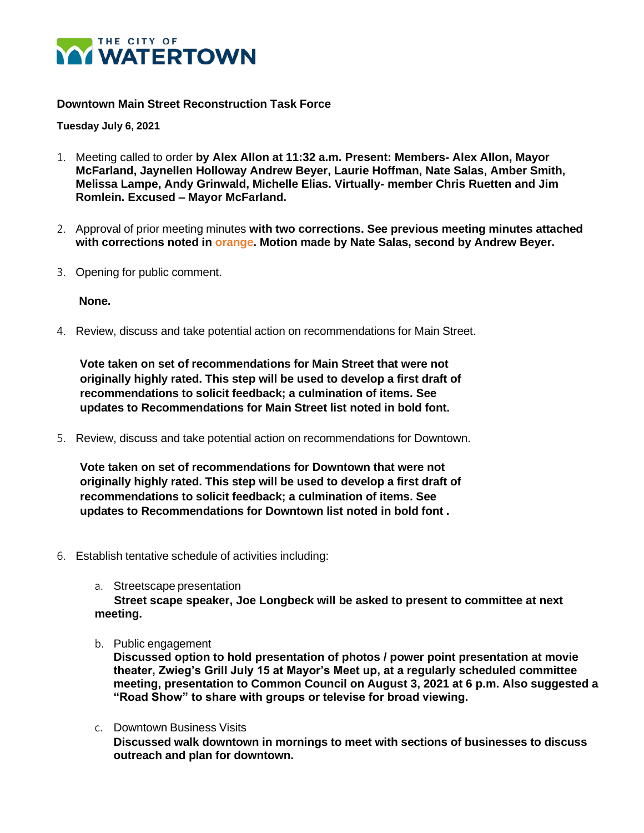

### **Downtown Main Street Reconstruction Task Force**

**Tuesday July 6, 2021**

- 1. Meeting called to order **by Alex Allon at 11:32 a.m. Present: Members- Alex Allon, Mayor McFarland, Jaynellen Holloway Andrew Beyer, Laurie Hoffman, Nate Salas, Amber Smith, Melissa Lampe, Andy Grinwald, Michelle Elias. Virtually- member Chris Ruetten and Jim Romlein. Excused – Mayor McFarland.**
- 2. Approval of prior meeting minutes **with two corrections. See previous meeting minutes attached with corrections noted in orange. Motion made by Nate Salas, second by Andrew Beyer.**
- 3. Opening for public comment.

**None.**

4. Review, discuss and take potential action on recommendations for Main Street.

 **Vote taken on set of recommendations for Main Street that were not originally highly rated. This step will be used to develop a first draft of recommendations to solicit feedback; a culmination of items. See updates to Recommendations for Main Street list noted in bold font.**

5. Review, discuss and take potential action on recommendations for Downtown.

 **Vote taken on set of recommendations for Downtown that were not originally highly rated. This step will be used to develop a first draft of recommendations to solicit feedback; a culmination of items. See updates to Recommendations for Downtown list noted in bold font .**

- 6. Establish tentative schedule of activities including:
	- a. Streetscape presentation

 **Street scape speaker, Joe Longbeck will be asked to present to committee at next meeting.**

b. Public engagement

**Discussed option to hold presentation of photos / power point presentation at movie theater, Zwieg's Grill July 15 at Mayor's Meet up, at a regularly scheduled committee meeting, presentation to Common Council on August 3, 2021 at 6 p.m. Also suggested a "Road Show" to share with groups or televise for broad viewing.**

c. Downtown Business Visits **Discussed walk downtown in mornings to meet with sections of businesses to discuss outreach and plan for downtown.**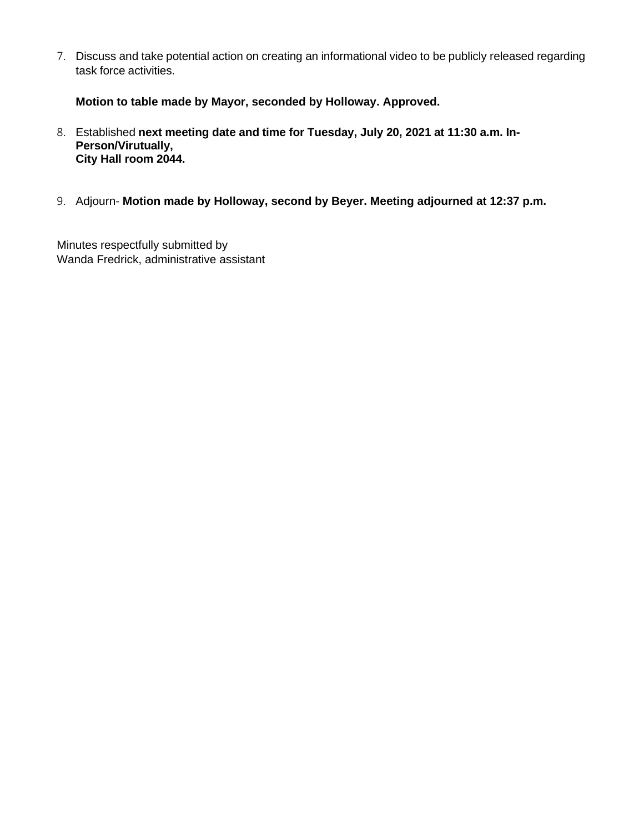7. Discuss and take potential action on creating an informational video to be publicly released regarding task force activities.

**Motion to table made by Mayor, seconded by Holloway. Approved.**

- 8. Established **next meeting date and time for Tuesday, July 20, 2021 at 11:30 a.m. In-Person/Virutually, City Hall room 2044.**
- 9. Adjourn- **Motion made by Holloway, second by Beyer. Meeting adjourned at 12:37 p.m.**

Minutes respectfully submitted by Wanda Fredrick, administrative assistant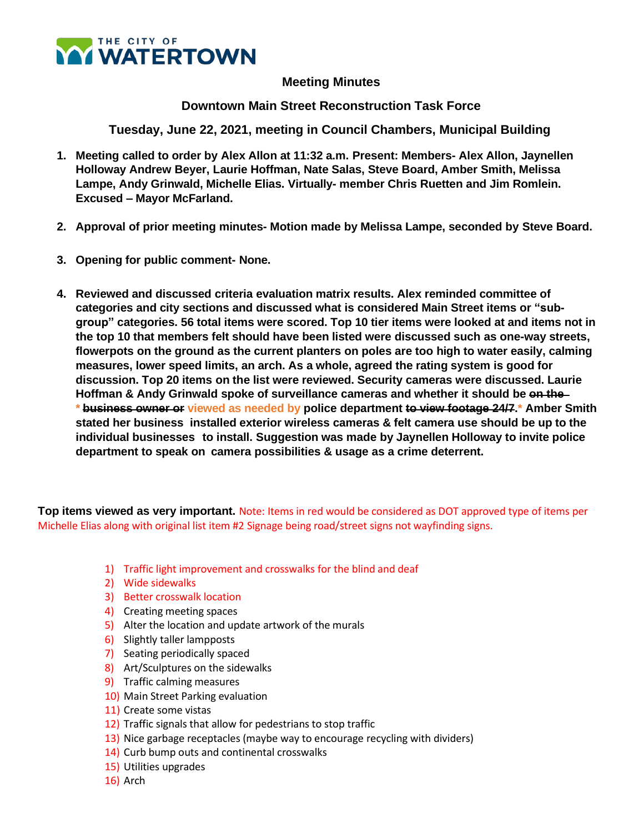

# **Meeting Minutes**

**Downtown Main Street Reconstruction Task Force**

**Tuesday, June 22, 2021, meeting in Council Chambers, Municipal Building**

- **1. Meeting called to order by Alex Allon at 11:32 a.m. Present: Members- Alex Allon, Jaynellen Holloway Andrew Beyer, Laurie Hoffman, Nate Salas, Steve Board, Amber Smith, Melissa Lampe, Andy Grinwald, Michelle Elias. Virtually- member Chris Ruetten and Jim Romlein. Excused – Mayor McFarland.**
- **2. Approval of prior meeting minutes- Motion made by Melissa Lampe, seconded by Steve Board.**
- **3. Opening for public comment- None.**
- **4. Reviewed and discussed criteria evaluation matrix results. Alex reminded committee of categories and city sections and discussed what is considered Main Street items or "subgroup" categories. 56 total items were scored. Top 10 tier items were looked at and items not in the top 10 that members felt should have been listed were discussed such as one-way streets, flowerpots on the ground as the current planters on poles are too high to water easily, calming measures, lower speed limits, an arch. As a whole, agreed the rating system is good for discussion. Top 20 items on the list were reviewed. Security cameras were discussed. Laurie Hoffman & Andy Grinwald spoke of surveillance cameras and whether it should be on the \* business owner or viewed as needed by police department to view footage 24/7.\* Amber Smith stated her business installed exterior wireless cameras & felt camera use should be up to the individual businesses to install. Suggestion was made by Jaynellen Holloway to invite police department to speak on camera possibilities & usage as a crime deterrent.**

**Top items viewed as very important.** Note: Items in red would be considered as DOT approved type of items per Michelle Elias along with original list item #2 Signage being road/street signs not wayfinding signs.

- 1) Traffic light improvement and crosswalks for the blind and deaf
- 2) Wide sidewalks
- 3) Better crosswalk location
- 4) Creating meeting spaces
- 5) Alter the location and update artwork of the murals
- 6) Slightly taller lampposts
- 7) Seating periodically spaced
- 8) Art/Sculptures on the sidewalks
- 9) Traffic calming measures
- 10) Main Street Parking evaluation
- 11) Create some vistas
- 12) Traffic signals that allow for pedestrians to stop traffic
- 13) Nice garbage receptacles (maybe way to encourage recycling with dividers)
- 14) Curb bump outs and continental crosswalks
- 15) Utilities upgrades
- 16) Arch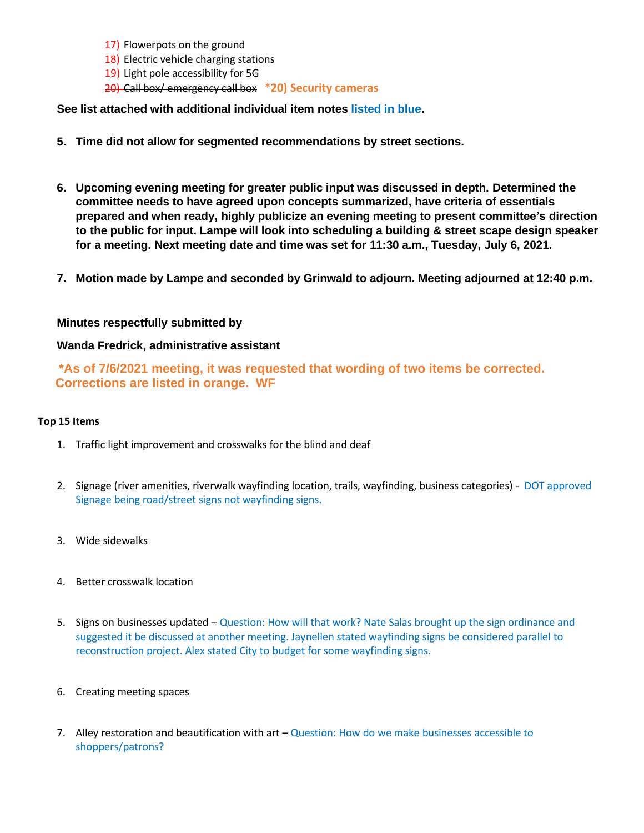- 17) Flowerpots on the ground
- 18) Electric vehicle charging stations
- 19) Light pole accessibility for 5G

20) Call box/ emergency call box \***20) Security cameras**

**See list attached with additional individual item notes listed in blue.**

- **5. Time did not allow for segmented recommendations by street sections.**
- **6. Upcoming evening meeting for greater public input was discussed in depth. Determined the committee needs to have agreed upon concepts summarized, have criteria of essentials prepared and when ready, highly publicize an evening meeting to present committee's direction to the public for input. Lampe will look into scheduling a building & street scape design speaker for a meeting. Next meeting date and time was set for 11:30 a.m., Tuesday, July 6, 2021.**
- **7. Motion made by Lampe and seconded by Grinwald to adjourn. Meeting adjourned at 12:40 p.m.**

#### **Minutes respectfully submitted by**

### **Wanda Fredrick, administrative assistant**

**\*As of 7/6/2021 meeting, it was requested that wording of two items be corrected. Corrections are listed in orange. WF**

#### **Top 15 Items**

- 1. Traffic light improvement and crosswalks for the blind and deaf
- 2. Signage (river amenities, riverwalk wayfinding location, trails, wayfinding, business categories) DOT approved Signage being road/street signs not wayfinding signs.
- 3. Wide sidewalks
- 4. Better crosswalk location
- 5. Signs on businesses updated Question: How will that work? Nate Salas brought up the sign ordinance and suggested it be discussed at another meeting. Jaynellen stated wayfinding signs be considered parallel to reconstruction project. Alex stated City to budget for some wayfinding signs.
- 6. Creating meeting spaces
- 7. Alley restoration and beautification with  $art Question$ : How do we make businesses accessible to shoppers/patrons?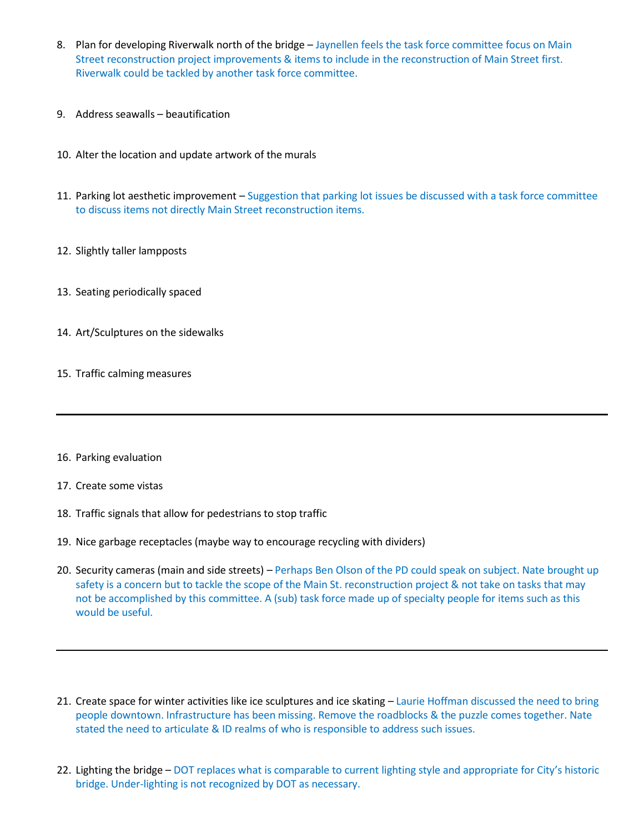- 8. Plan for developing Riverwalk north of the bridge Jaynellen feels the task force committee focus on Main Street reconstruction project improvements & items to include in the reconstruction of Main Street first. Riverwalk could be tackled by another task force committee.
- 9. Address seawalls beautification
- 10. Alter the location and update artwork of the murals
- 11. Parking lot aesthetic improvement Suggestion that parking lot issues be discussed with a task force committee to discuss items not directly Main Street reconstruction items.
- 12. Slightly taller lampposts
- 13. Seating periodically spaced
- 14. Art/Sculptures on the sidewalks
- 15. Traffic calming measures
- 16. Parking evaluation
- 17. Create some vistas
- 18. Traffic signals that allow for pedestrians to stop traffic
- 19. Nice garbage receptacles (maybe way to encourage recycling with dividers)
- 20. Security cameras (main and side streets) Perhaps Ben Olson of the PD could speak on subject. Nate brought up safety is a concern but to tackle the scope of the Main St. reconstruction project & not take on tasks that may not be accomplished by this committee. A (sub) task force made up of specialty people for items such as this would be useful.
- 21. Create space for winter activities like ice sculptures and ice skating Laurie Hoffman discussed the need to bring people downtown. Infrastructure has been missing. Remove the roadblocks & the puzzle comes together. Nate stated the need to articulate & ID realms of who is responsible to address such issues.
- 22. Lighting the bridge DOT replaces what is comparable to current lighting style and appropriate for City's historic bridge. Under-lighting is not recognized by DOT as necessary.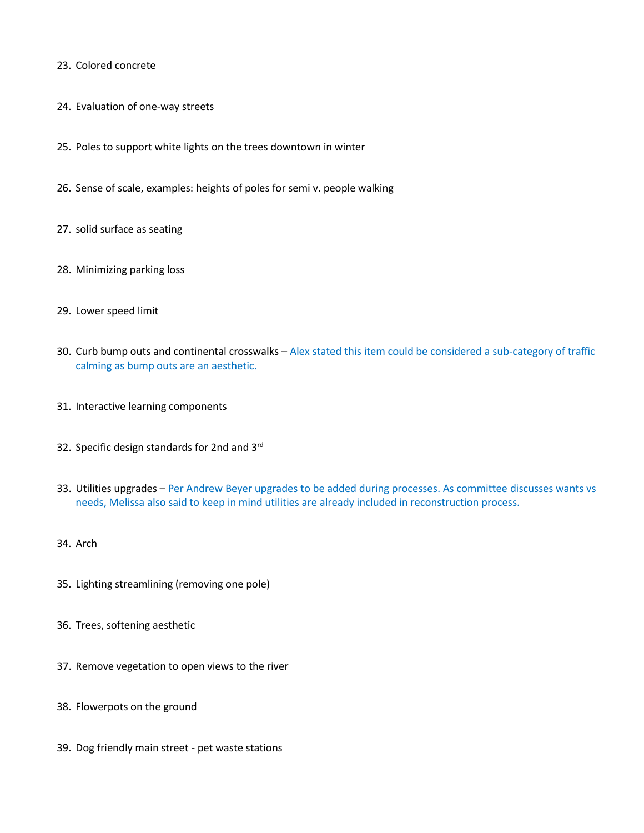- 23. Colored concrete
- 24. Evaluation of one-way streets
- 25. Poles to support white lights on the trees downtown in winter
- 26. Sense of scale, examples: heights of poles for semi v. people walking
- 27. solid surface as seating
- 28. Minimizing parking loss
- 29. Lower speed limit
- 30. Curb bump outs and continental crosswalks Alex stated this item could be considered a sub-category of traffic calming as bump outs are an aesthetic.
- 31. Interactive learning components
- 32. Specific design standards for 2nd and 3<sup>rd</sup>
- 33. Utilities upgrades Per Andrew Beyer upgrades to be added during processes. As committee discusses wants vs needs, Melissa also said to keep in mind utilities are already included in reconstruction process.
- 34. Arch
- 35. Lighting streamlining (removing one pole)
- 36. Trees, softening aesthetic
- 37. Remove vegetation to open views to the river
- 38. Flowerpots on the ground
- 39. Dog friendly main street pet waste stations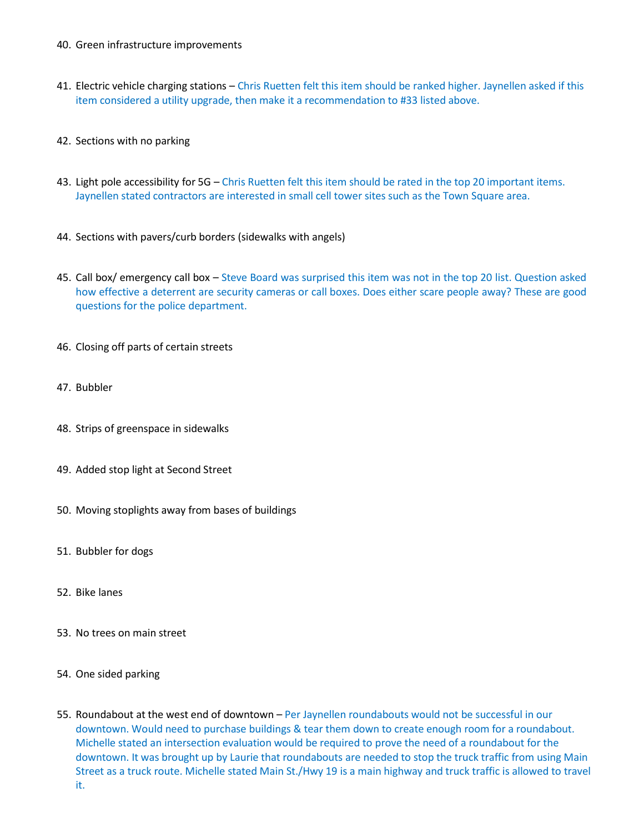- 40. Green infrastructure improvements
- 41. Electric vehicle charging stations Chris Ruetten felt this item should be ranked higher. Jaynellen asked if this item considered a utility upgrade, then make it a recommendation to #33 listed above.
- 42. Sections with no parking
- 43. Light pole accessibility for 5G Chris Ruetten felt this item should be rated in the top 20 important items. Jaynellen stated contractors are interested in small cell tower sites such as the Town Square area.
- 44. Sections with pavers/curb borders (sidewalks with angels)
- 45. Call box/ emergency call box Steve Board was surprised this item was not in the top 20 list. Question asked how effective a deterrent are security cameras or call boxes. Does either scare people away? These are good questions for the police department.
- 46. Closing off parts of certain streets
- 47. Bubbler
- 48. Strips of greenspace in sidewalks
- 49. Added stop light at Second Street
- 50. Moving stoplights away from bases of buildings
- 51. Bubbler for dogs
- 52. Bike lanes
- 53. No trees on main street
- 54. One sided parking
- 55. Roundabout at the west end of downtown Per Jaynellen roundabouts would not be successful in our downtown. Would need to purchase buildings & tear them down to create enough room for a roundabout. Michelle stated an intersection evaluation would be required to prove the need of a roundabout for the downtown. It was brought up by Laurie that roundabouts are needed to stop the truck traffic from using Main Street as a truck route. Michelle stated Main St./Hwy 19 is a main highway and truck traffic is allowed to travel it.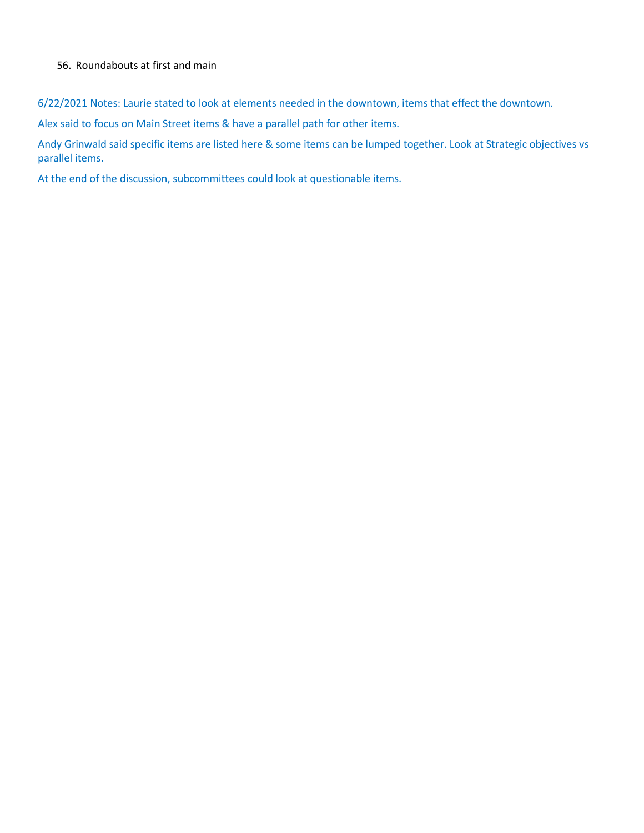## 56. Roundabouts at first and main

6/22/2021 Notes: Laurie stated to look at elements needed in the downtown, items that effect the downtown.

Alex said to focus on Main Street items & have a parallel path for other items.

Andy Grinwald said specific items are listed here & some items can be lumped together. Look at Strategic objectives vs parallel items.

At the end of the discussion, subcommittees could look at questionable items.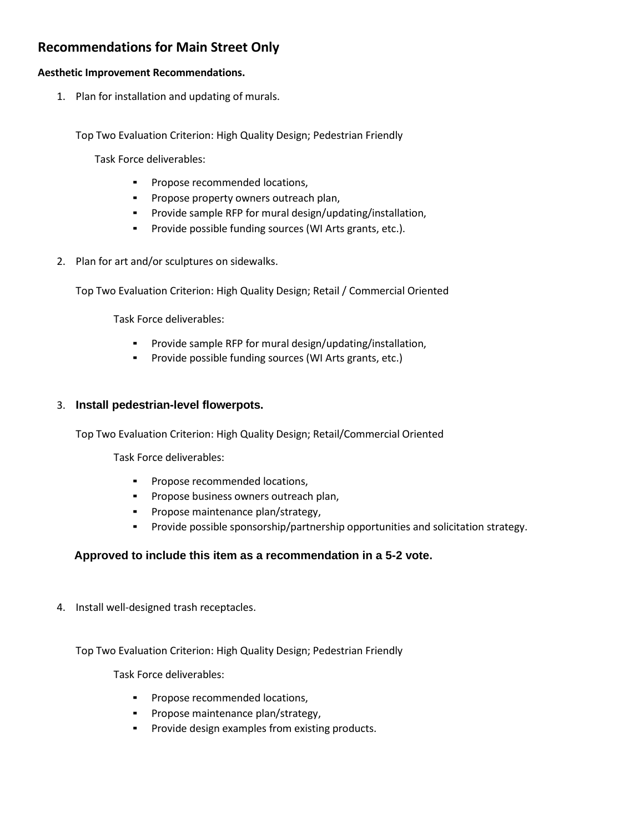# **Recommendations for Main Street Only**

### **Aesthetic Improvement Recommendations.**

1. Plan for installation and updating of murals.

Top Two Evaluation Criterion: High Quality Design; Pedestrian Friendly

Task Force deliverables:

- Propose recommended locations,
- Propose property owners outreach plan,
- Provide sample RFP for mural design/updating/installation,
- Provide possible funding sources (WI Arts grants, etc.).
- 2. Plan for art and/or sculptures on sidewalks.

Top Two Evaluation Criterion: High Quality Design; Retail / Commercial Oriented

Task Force deliverables:

- Provide sample RFP for mural design/updating/installation,
- Provide possible funding sources (WI Arts grants, etc.)

#### 3. **Install pedestrian-level flowerpots.**

Top Two Evaluation Criterion: High Quality Design; Retail/Commercial Oriented

Task Force deliverables:

- Propose recommended locations,
- Propose business owners outreach plan,
- **•** Propose maintenance plan/strategy,
- Provide possible sponsorship/partnership opportunities and solicitation strategy.

# **Approved to include this item as a recommendation in a 5-2 vote.**

4. Install well-designed trash receptacles.

Top Two Evaluation Criterion: High Quality Design; Pedestrian Friendly

Task Force deliverables:

- Propose recommended locations,
- Propose maintenance plan/strategy,
- Provide design examples from existing products.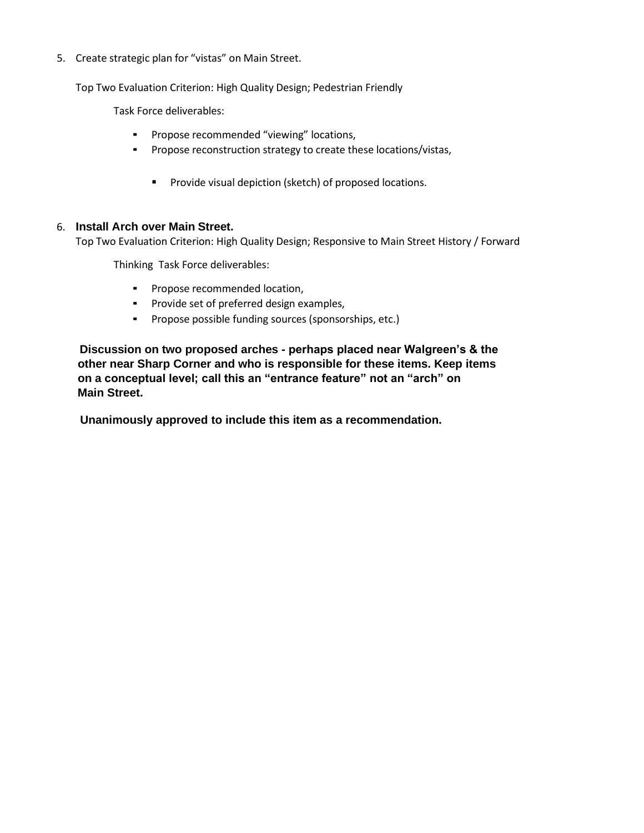5. Create strategic plan for "vistas" on Main Street.

Top Two Evaluation Criterion: High Quality Design; Pedestrian Friendly

Task Force deliverables:

- Propose recommended "viewing" locations,
- Propose reconstruction strategy to create these locations/vistas,
	- Provide visual depiction (sketch) of proposed locations.

## 6. **Install Arch over Main Street.**

Top Two Evaluation Criterion: High Quality Design; Responsive to Main Street History / Forward

Thinking Task Force deliverables:

- Propose recommended location,
- Provide set of preferred design examples,
- Propose possible funding sources (sponsorships, etc.)

 **Discussion on two proposed arches - perhaps placed near Walgreen's & the other near Sharp Corner and who is responsible for these items. Keep items on a conceptual level; call this an "entrance feature" not an "arch" on Main Street.**

**Unanimously approved to include this item as a recommendation.**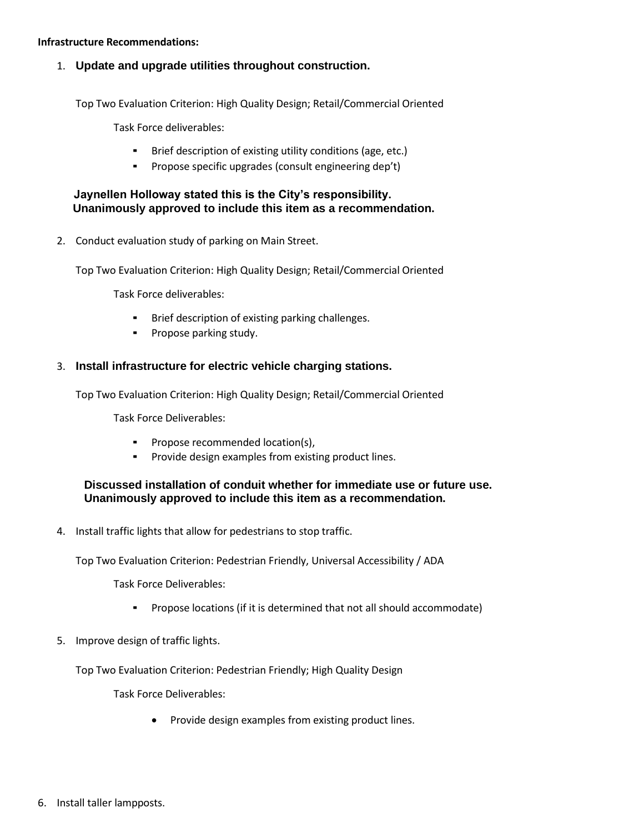#### **Infrastructure Recommendations:**

1. **Update and upgrade utilities throughout construction.**

Top Two Evaluation Criterion: High Quality Design; Retail/Commercial Oriented

Task Force deliverables:

- Brief description of existing utility conditions (age, etc.)
- Propose specific upgrades (consult engineering dep't)

### **Jaynellen Holloway stated this is the City's responsibility. Unanimously approved to include this item as a recommendation.**

2. Conduct evaluation study of parking on Main Street.

Top Two Evaluation Criterion: High Quality Design; Retail/Commercial Oriented

Task Force deliverables:

- Brief description of existing parking challenges.
- Propose parking study.

### 3. **Install infrastructure for electric vehicle charging stations.**

Top Two Evaluation Criterion: High Quality Design; Retail/Commercial Oriented

Task Force Deliverables:

- Propose recommended location(s),
- Provide design examples from existing product lines.

### **Discussed installation of conduit whether for immediate use or future use. Unanimously approved to include this item as a recommendation.**

4. Install traffic lights that allow for pedestrians to stop traffic.

Top Two Evaluation Criterion: Pedestrian Friendly, Universal Accessibility / ADA

Task Force Deliverables:

- Propose locations (if it is determined that not all should accommodate)
- 5. Improve design of traffic lights.

Top Two Evaluation Criterion: Pedestrian Friendly; High Quality Design

Task Force Deliverables:

• Provide design examples from existing product lines.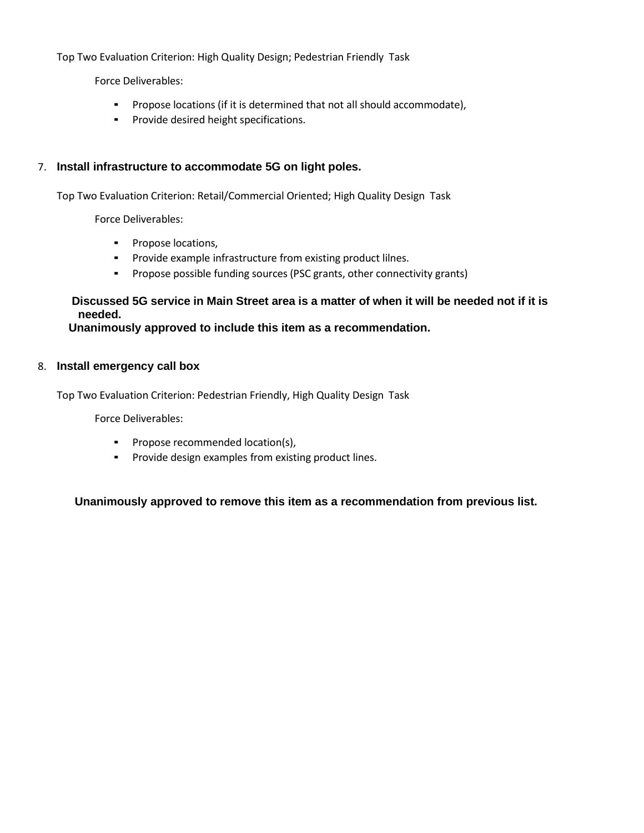Top Two Evaluation Criterion: High Quality Design; Pedestrian Friendly Task

Force Deliverables:

- Propose locations (if it is determined that not all should accommodate),
- Provide desired height specifications.

### 7. **Install infrastructure to accommodate 5G on light poles.**

Top Two Evaluation Criterion: Retail/Commercial Oriented; High Quality Design Task

Force Deliverables:

- Propose locations,
- Provide example infrastructure from existing product lilnes.
- Propose possible funding sources (PSC grants, other connectivity grants)

# **Discussed 5G service in Main Street area is a matter of when it will be needed not if it is needed.**

 **Unanimously approved to include this item as a recommendation.**

#### 8. **Install emergency call box**

Top Two Evaluation Criterion: Pedestrian Friendly, High Quality Design Task

Force Deliverables:

- Propose recommended location(s),
- Provide design examples from existing product lines.

 **Unanimously approved to remove this item as a recommendation from previous list.**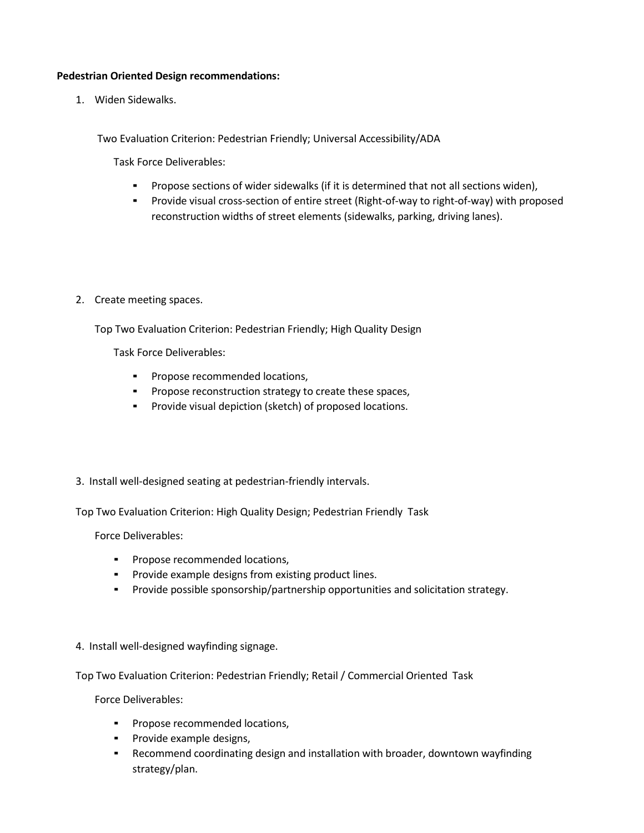#### **Pedestrian Oriented Design recommendations:**

1. Widen Sidewalks.

Two Evaluation Criterion: Pedestrian Friendly; Universal Accessibility/ADA

Task Force Deliverables:

- Propose sections of wider sidewalks (if it is determined that not all sections widen),
- Provide visual cross-section of entire street (Right-of-way to right-of-way) with proposed reconstruction widths of street elements (sidewalks, parking, driving lanes).
- 2. Create meeting spaces.

Top Two Evaluation Criterion: Pedestrian Friendly; High Quality Design

Task Force Deliverables:

- Propose recommended locations,
- Propose reconstruction strategy to create these spaces,
- Provide visual depiction (sketch) of proposed locations.
- 3. Install well-designed seating at pedestrian-friendly intervals.

Top Two Evaluation Criterion: High Quality Design; Pedestrian Friendly Task

Force Deliverables:

- Propose recommended locations,
- Provide example designs from existing product lines.
- Provide possible sponsorship/partnership opportunities and solicitation strategy.
- 4. Install well-designed wayfinding signage.

Top Two Evaluation Criterion: Pedestrian Friendly; Retail / Commercial Oriented Task

Force Deliverables:

- Propose recommended locations,
- Provide example designs,
- **•** Recommend coordinating design and installation with broader, downtown wayfinding strategy/plan.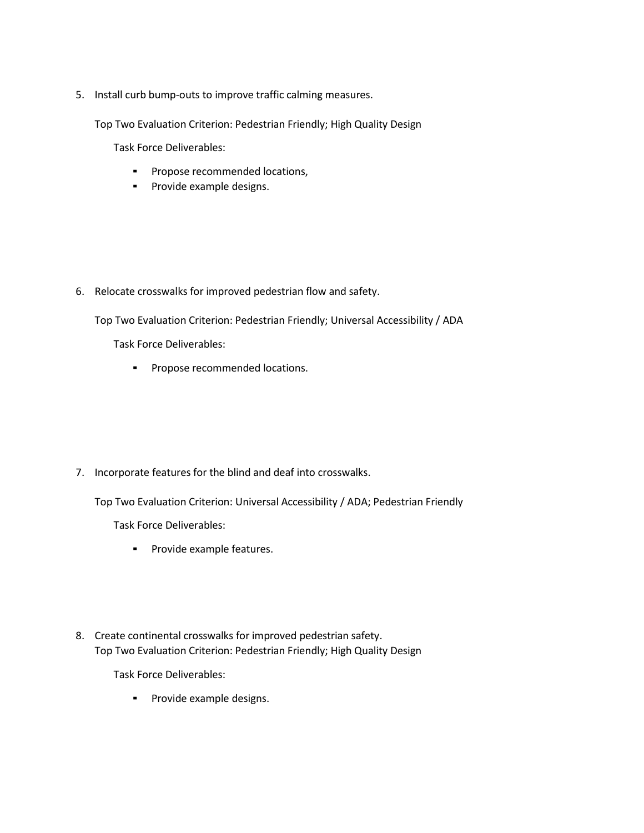5. Install curb bump-outs to improve traffic calming measures.

Top Two Evaluation Criterion: Pedestrian Friendly; High Quality Design

Task Force Deliverables:

- Propose recommended locations,
- Provide example designs.

6. Relocate crosswalks for improved pedestrian flow and safety.

Top Two Evaluation Criterion: Pedestrian Friendly; Universal Accessibility / ADA

Task Force Deliverables:

▪ Propose recommended locations.

7. Incorporate features for the blind and deaf into crosswalks.

Top Two Evaluation Criterion: Universal Accessibility / ADA; Pedestrian Friendly

Task Force Deliverables:

- Provide example features.
- 8. Create continental crosswalks for improved pedestrian safety. Top Two Evaluation Criterion: Pedestrian Friendly; High Quality Design

Task Force Deliverables:

▪ Provide example designs.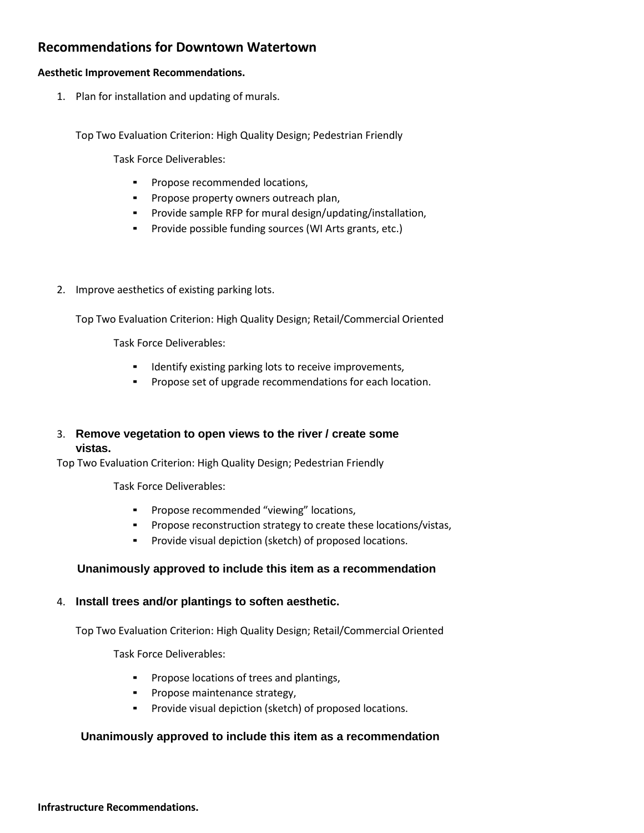# **Recommendations for Downtown Watertown**

#### **Aesthetic Improvement Recommendations.**

1. Plan for installation and updating of murals.

Top Two Evaluation Criterion: High Quality Design; Pedestrian Friendly

Task Force Deliverables:

- Propose recommended locations,
- Propose property owners outreach plan,
- Provide sample RFP for mural design/updating/installation,
- Provide possible funding sources (WI Arts grants, etc.)
- 2. Improve aesthetics of existing parking lots.

Top Two Evaluation Criterion: High Quality Design; Retail/Commercial Oriented

Task Force Deliverables:

- Identify existing parking lots to receive improvements,
- Propose set of upgrade recommendations for each location.

# 3. **Remove vegetation to open views to the river / create some vistas.**

Top Two Evaluation Criterion: High Quality Design; Pedestrian Friendly

Task Force Deliverables:

- Propose recommended "viewing" locations,
- Propose reconstruction strategy to create these locations/vistas,
- Provide visual depiction (sketch) of proposed locations.

# **Unanimously approved to include this item as a recommendation**

#### 4. **Install trees and/or plantings to soften aesthetic.**

Top Two Evaluation Criterion: High Quality Design; Retail/Commercial Oriented

Task Force Deliverables:

- Propose locations of trees and plantings,
- **•** Propose maintenance strategy,
- Provide visual depiction (sketch) of proposed locations.

# **Unanimously approved to include this item as a recommendation**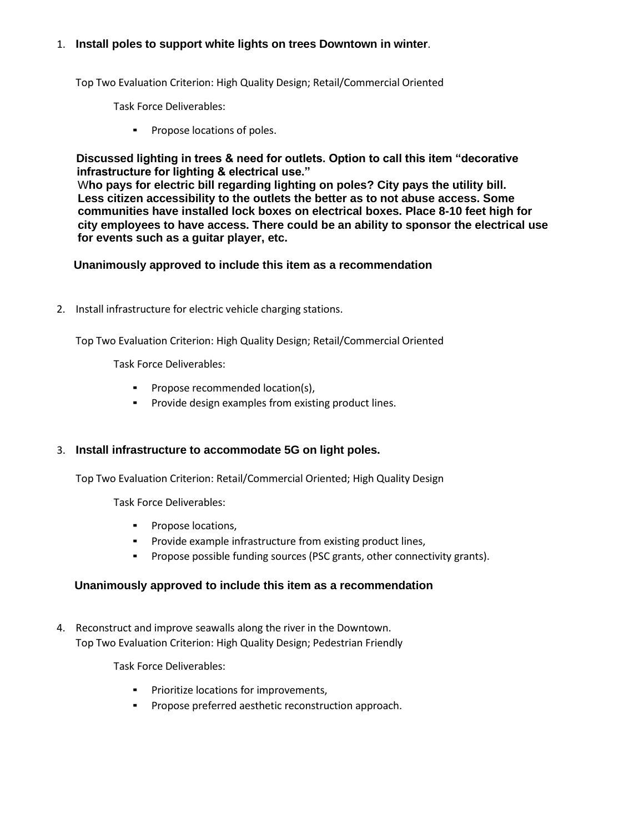## 1. **Install poles to support white lights on trees Downtown in winter**.

Top Two Evaluation Criterion: High Quality Design; Retail/Commercial Oriented

Task Force Deliverables:

▪ Propose locations of poles.

 **Discussed lighting in trees & need for outlets. Option to call this item "decorative infrastructure for lighting & electrical use."**

 W**ho pays for electric bill regarding lighting on poles? City pays the utility bill. Less citizen accessibility to the outlets the better as to not abuse access. Some communities have installed lock boxes on electrical boxes. Place 8-10 feet high for city employees to have access. There could be an ability to sponsor the electrical use for events such as a guitar player, etc.**

### **Unanimously approved to include this item as a recommendation**

2. Install infrastructure for electric vehicle charging stations.

Top Two Evaluation Criterion: High Quality Design; Retail/Commercial Oriented

Task Force Deliverables:

- Propose recommended location(s),
- Provide design examples from existing product lines.

# 3. **Install infrastructure to accommodate 5G on light poles.**

Top Two Evaluation Criterion: Retail/Commercial Oriented; High Quality Design

Task Force Deliverables:

- Propose locations,
- Provide example infrastructure from existing product lines,
- Propose possible funding sources (PSC grants, other connectivity grants).

# **Unanimously approved to include this item as a recommendation**

4. Reconstruct and improve seawalls along the river in the Downtown. Top Two Evaluation Criterion: High Quality Design; Pedestrian Friendly

Task Force Deliverables:

- Prioritize locations for improvements,
- Propose preferred aesthetic reconstruction approach.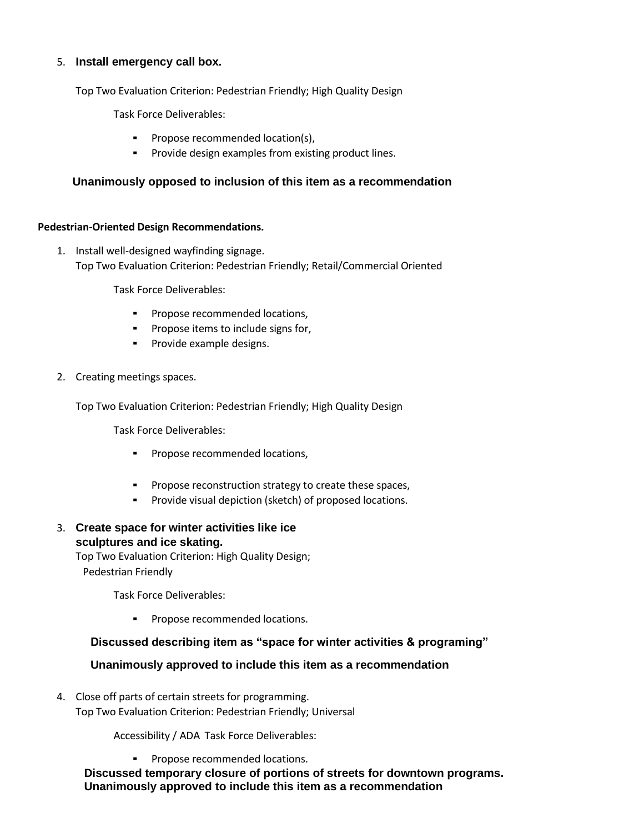### 5. **Install emergency call box.**

Top Two Evaluation Criterion: Pedestrian Friendly; High Quality Design

Task Force Deliverables:

- Propose recommended location(s),
- Provide design examples from existing product lines.

### **Unanimously opposed to inclusion of this item as a recommendation**

#### **Pedestrian-Oriented Design Recommendations.**

1. Install well-designed wayfinding signage. Top Two Evaluation Criterion: Pedestrian Friendly; Retail/Commercial Oriented

Task Force Deliverables:

- Propose recommended locations,
- Propose items to include signs for,
- Provide example designs.
- 2. Creating meetings spaces.

Top Two Evaluation Criterion: Pedestrian Friendly; High Quality Design

Task Force Deliverables:

- Propose recommended locations,
- Propose reconstruction strategy to create these spaces,
- Provide visual depiction (sketch) of proposed locations.
- 3. **Create space for winter activities like ice sculptures and ice skating.**

Top Two Evaluation Criterion: High Quality Design; Pedestrian Friendly

Task Force Deliverables:

▪ Propose recommended locations.

#### **Discussed describing item as "space for winter activities & programing"**

#### **Unanimously approved to include this item as a recommendation**

4. Close off parts of certain streets for programming. Top Two Evaluation Criterion: Pedestrian Friendly; Universal

Accessibility / ADA Task Force Deliverables:

▪ Propose recommended locations.

 **Discussed temporary closure of portions of streets for downtown programs. Unanimously approved to include this item as a recommendation**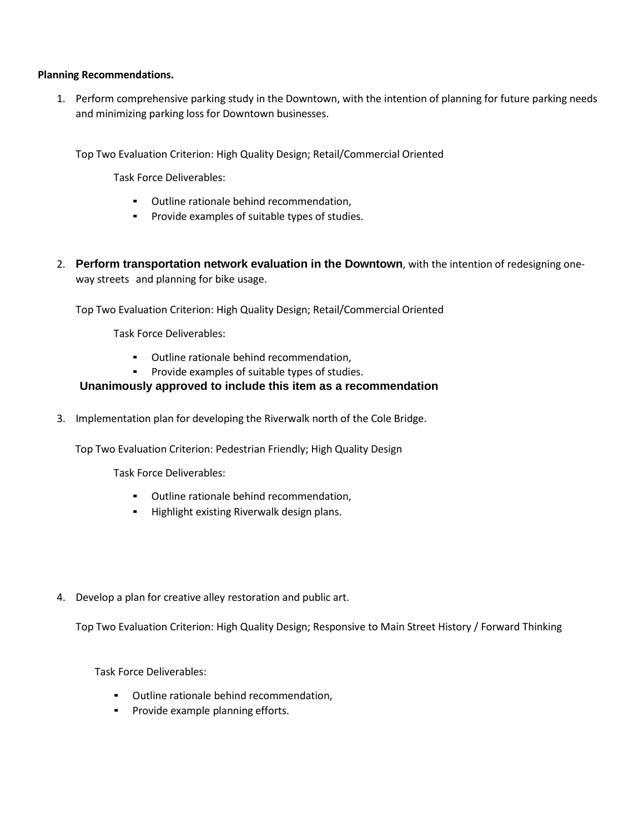### **Planning Recommendations.**

1. Perform comprehensive parking study in the Downtown, with the intention of planning for future parking needs and minimizing parking loss for Downtown businesses.

Top Two Evaluation Criterion: High Quality Design; Retail/Commercial Oriented

Task Force Deliverables:

- Outline rationale behind recommendation,
- Provide examples of suitable types of studies.
- 2. **Perform transportation network evaluation in the Downtown**, with the intention of redesigning oneway streets and planning for bike usage.

Top Two Evaluation Criterion: High Quality Design; Retail/Commercial Oriented

Task Force Deliverables:

- Outline rationale behind recommendation,
- Provide examples of suitable types of studies.

# **Unanimously approved to include this item as a recommendation**

3. Implementation plan for developing the Riverwalk north of the Cole Bridge.

Top Two Evaluation Criterion: Pedestrian Friendly; High Quality Design

Task Force Deliverables:

- Outline rationale behind recommendation,
- Highlight existing Riverwalk design plans.
- 4. Develop a plan for creative alley restoration and public art.

Top Two Evaluation Criterion: High Quality Design; Responsive to Main Street History / Forward Thinking

Task Force Deliverables:

- Outline rationale behind recommendation,
- Provide example planning efforts.